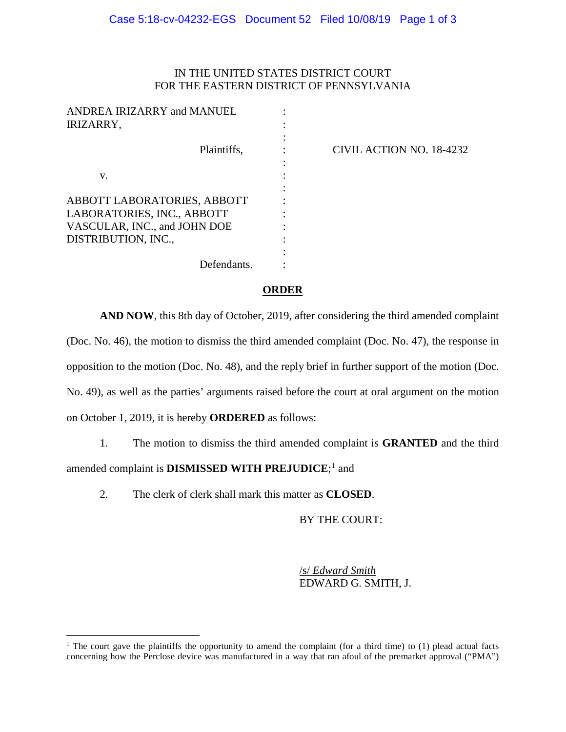## IN THE UNITED STATES DISTRICT COURT FOR THE EASTERN DISTRICT OF PENNSYLVANIA

| ANDREA IRIZARRY and MANUEL<br>IRIZARRY,                                                                          |                          |
|------------------------------------------------------------------------------------------------------------------|--------------------------|
| Plaintiffs,                                                                                                      | CIVIL ACTION NO. 18-4232 |
| V.                                                                                                               |                          |
| ABBOTT LABORATORIES, ABBOTT<br>LABORATORIES, INC., ABBOTT<br>VASCULAR, INC., and JOHN DOE<br>DISTRIBUTION, INC., |                          |
| Defendants.                                                                                                      |                          |

## **ORDER**

**AND NOW**, this 8th day of October, 2019, after considering the third amended complaint (Doc. No. 46), the motion to dismiss the third amended complaint (Doc. No. 47), the response in opposition to the motion (Doc. No. 48), and the reply brief in further support of the motion (Doc. No. 49), as well as the parties' arguments raised before the court at oral argument on the motion on October 1, 2019, it is hereby **ORDERED** as follows:

1. The motion to dismiss the third amended complaint is **GRANTED** and the third amended complaint is **DISMISSED WITH PREJUDICE**;<sup>[1](#page-0-0)</sup> and

2. The clerk of clerk shall mark this matter as **CLOSED**.

 $\overline{a}$ 

BY THE COURT:

/s/ *Edward Smith* EDWARD G. SMITH, J.

<span id="page-0-0"></span><sup>&</sup>lt;sup>1</sup> The court gave the plaintiffs the opportunity to amend the complaint (for a third time) to (1) plead actual facts concerning how the Perclose device was manufactured in a way that ran afoul of the premarket approval ("PMA")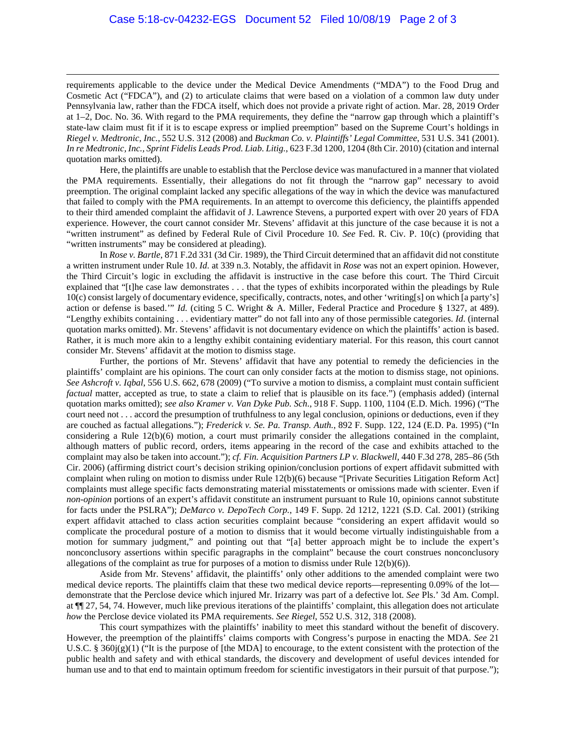requirements applicable to the device under the Medical Device Amendments ("MDA") to the Food Drug and Cosmetic Act ("FDCA"), and (2) to articulate claims that were based on a violation of a common law duty under Pennsylvania law, rather than the FDCA itself, which does not provide a private right of action. Mar. 28, 2019 Order at 1–2, Doc. No. 36. With regard to the PMA requirements, they define the "narrow gap through which a plaintiff's state-law claim must fit if it is to escape express or implied preemption" based on the Supreme Court's holdings in *Riegel v. Medtronic, Inc.*, 552 U.S. 312 (2008) and *Buckman Co. v. Plaintiffs' Legal Committee*, 531 U.S. 341 (2001). *In re Medtronic, Inc., Sprint Fidelis Leads Prod. Liab. Litig.*, 623 F.3d 1200, 1204 (8th Cir. 2010) (citation and internal quotation marks omitted).

 $\overline{a}$ 

Here, the plaintiffs are unable to establish that the Perclose device was manufactured in a manner that violated the PMA requirements. Essentially, their allegations do not fit through the "narrow gap" necessary to avoid preemption. The original complaint lacked any specific allegations of the way in which the device was manufactured that failed to comply with the PMA requirements. In an attempt to overcome this deficiency, the plaintiffs appended to their third amended complaint the affidavit of J. Lawrence Stevens, a purported expert with over 20 years of FDA experience. However, the court cannot consider Mr. Stevens' affidavit at this juncture of the case because it is not a "written instrument" as defined by Federal Rule of Civil Procedure 10. *See* Fed. R. Civ. P. 10(c) (providing that "written instruments" may be considered at pleading).

In *Rose v. Bartle*, 871 F.2d 331 (3d Cir. 1989), the Third Circuit determined that an affidavit did not constitute a written instrument under Rule 10. *Id.* at 339 n.3. Notably, the affidavit in *Rose* was not an expert opinion. However, the Third Circuit's logic in excluding the affidavit is instructive in the case before this court. The Third Circuit explained that "[t]he case law demonstrates . . . that the types of exhibits incorporated within the pleadings by Rule  $10(c)$  consist largely of documentary evidence, specifically, contracts, notes, and other 'writing[s] on which [a party's] action or defense is based.'" *Id.* (citing 5 C. Wright & A. Miller, Federal Practice and Procedure § 1327, at 489). "Lengthy exhibits containing . . . evidentiary matter" do not fall into any of those permissible categories. *Id.* (internal quotation marks omitted). Mr. Stevens' affidavit is not documentary evidence on which the plaintiffs' action is based. Rather, it is much more akin to a lengthy exhibit containing evidentiary material. For this reason, this court cannot consider Mr. Stevens' affidavit at the motion to dismiss stage.

Further, the portions of Mr. Stevens' affidavit that have any potential to remedy the deficiencies in the plaintiffs' complaint are his opinions. The court can only consider facts at the motion to dismiss stage, not opinions. *See Ashcroft v. Iqbal*, 556 U.S. 662, 678 (2009) ("To survive a motion to dismiss, a complaint must contain sufficient *factual* matter, accepted as true, to state a claim to relief that is plausible on its face.") (emphasis added) (internal quotation marks omitted); *see also Kramer v. Van Dyke Pub. Sch.*, 918 F. Supp. 1100, 1104 (E.D. Mich. 1996) ("The court need not . . . accord the presumption of truthfulness to any legal conclusion, opinions or deductions, even if they are couched as factual allegations."); *Frederick v. Se. Pa. Transp. Auth.*, 892 F. Supp. 122, 124 (E.D. Pa. 1995) ("In considering a Rule 12(b)(6) motion, a court must primarily consider the allegations contained in the complaint, although matters of public record, orders, items appearing in the record of the case and exhibits attached to the complaint may also be taken into account."); *cf. Fin. Acquisition Partners LP v. Blackwell*, 440 F.3d 278, 285–86 (5th Cir. 2006) (affirming district court's decision striking opinion/conclusion portions of expert affidavit submitted with complaint when ruling on motion to dismiss under Rule 12(b)(6) because "[Private Securities Litigation Reform Act] complaints must allege specific facts demonstrating material misstatements or omissions made with scienter. Even if *non-opinion* portions of an expert's affidavit constitute an instrument pursuant to Rule 10, opinions cannot substitute for facts under the PSLRA"); *DeMarco v. DepoTech Corp.*, 149 F. Supp. 2d 1212, 1221 (S.D. Cal. 2001) (striking expert affidavit attached to class action securities complaint because "considering an expert affidavit would so complicate the procedural posture of a motion to dismiss that it would become virtually indistinguishable from a motion for summary judgment," and pointing out that "[a] better approach might be to include the expert's nonconclusory assertions within specific paragraphs in the complaint" because the court construes nonconclusory allegations of the complaint as true for purposes of a motion to dismiss under Rule  $12(b)(6)$ .

Aside from Mr. Stevens' affidavit, the plaintiffs' only other additions to the amended complaint were two medical device reports. The plaintiffs claim that these two medical device reports—representing 0.09% of the lot demonstrate that the Perclose device which injured Mr. Irizarry was part of a defective lot. *See* Pls.' 3d Am. Compl. at ¶¶ 27, 54, 74. However, much like previous iterations of the plaintiffs' complaint, this allegation does not articulate *how* the Perclose device violated its PMA requirements. *See Riegel*, 552 U.S. 312, 318 (2008).

This court sympathizes with the plaintiffs' inability to meet this standard without the benefit of discovery. However, the preemption of the plaintiffs' claims comports with Congress's purpose in enacting the MDA. *See* 21 U.S.C. § 360 $j(g)(1)$  ("It is the purpose of [the MDA] to encourage, to the extent consistent with the protection of the public health and safety and with ethical standards, the discovery and development of useful devices intended for human use and to that end to maintain optimum freedom for scientific investigators in their pursuit of that purpose.");